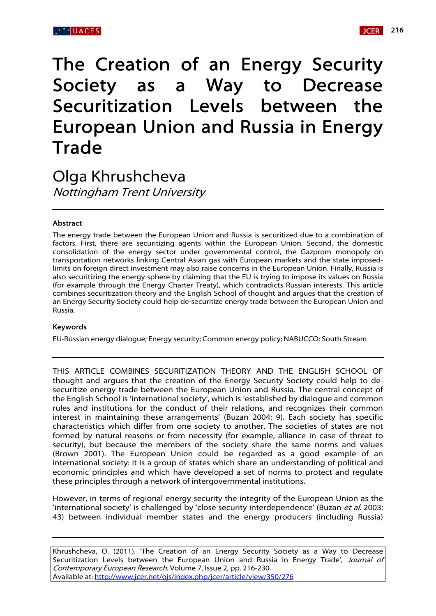# The Creation of an Energy Security Society as a Way to Decrease Securitization Levels between the European Union and Russia in Energy Trade

Olga Khrushcheva Nottingham Trent University

## Abstract

The energy trade between the European Union and Russia is securitized due to a combination of factors. First, there are securitizing agents within the European Union. Second, the domestic consolidation of the energy sector under governmental control, the Gazprom monopoly on transportation networks linking Central Asian gas with European markets and the state imposedlimits on foreign direct investment may also raise concerns in the European Union. Finally, Russia is also securitizing the energy sphere by claiming that the EU is trying to impose its values on Russia (for example through the Energy Charter Treaty), which contradicts Russian interests. This article combines securitization theory and the English School of thought and argues that the creation of an Energy Security Society could help de-securitize energy trade between the European Union and Russia.

## Keywords

EU-Russian energy dialogue; Energy security; Common energy policy; NABUCCO; South Stream

THIS ARTICLE COMBINES SECURITIZATION THEORY AND THE ENGLISH SCHOOL OF thought and argues that the creation of the Energy Security Society could help to desecuritize energy trade between the European Union and Russia. The central concept of the English School is 'international society', which is 'established by dialogue and common rules and institutions for the conduct of their relations, and recognizes their common interest in maintaining these arrangements' (Buzan 2004: 9). Each society has specific characteristics which differ from one society to another. The societies of states are not formed by natural reasons or from necessity (for example, alliance in case of threat to security), but because the members of the society share the same norms and values (Brown 2001). The European Union could be regarded as a good example of an international society: it is a group of states which share an understanding of political and economic principles and which have developed a set of norms to protect and regulate these principles through a network of intergovernmental institutions.

However, in terms of regional energy security the integrity of the European Union as the 'international society' is challenged by 'close security interdependence' (Buzan et al. 2003: 43) between individual member states and the energy producers (including Russia)

Khrushcheva, O. (2011). 'The Creation of an Energy Security Society as a Way to Decrease Securitization Levels between the European Union and Russia in Energy Trade', Journal of Contemporary European Research. Volume 7, Issue 2, pp. 216-230. Available at: http://www.jcer.net/ojs/index.php/jcer/article/view/350/276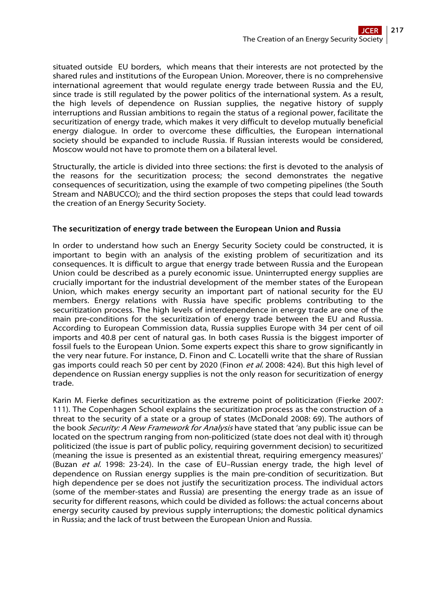situated outside EU borders, which means that their interests are not protected by the shared rules and institutions of the European Union. Moreover, there is no comprehensive international agreement that would regulate energy trade between Russia and the EU, since trade is still regulated by the power politics of the international system. As a result, the high levels of dependence on Russian supplies, the negative history of supply interruptions and Russian ambitions to regain the status of a regional power, facilitate the securitization of energy trade, which makes it very difficult to develop mutually beneficial energy dialogue. In order to overcome these difficulties, the European international society should be expanded to include Russia. If Russian interests would be considered, Moscow would not have to promote them on a bilateral level.

Structurally, the article is divided into three sections: the first is devoted to the analysis of the reasons for the securitization process; the second demonstrates the negative consequences of securitization, using the example of two competing pipelines (the South Stream and NABUCCO); and the third section proposes the steps that could lead towards the creation of an Energy Security Society.

## The securitization of energy trade between the European Union and Russia

In order to understand how such an Energy Security Society could be constructed, it is important to begin with an analysis of the existing problem of securitization and its consequences. It is difficult to argue that energy trade between Russia and the European Union could be described as a purely economic issue. Uninterrupted energy supplies are crucially important for the industrial development of the member states of the European Union, which makes energy security an important part of national security for the EU members. Energy relations with Russia have specific problems contributing to the securitization process. The high levels of interdependence in energy trade are one of the main pre-conditions for the securitization of energy trade between the EU and Russia. According to European Commission data, Russia supplies Europe with 34 per cent of oil imports and 40.8 per cent of natural gas. In both cases Russia is the biggest importer of fossil fuels to the European Union. Some experts expect this share to grow significantly in the very near future. For instance, D. Finon and C. Locatelli write that the share of Russian gas imports could reach 50 per cent by 2020 (Finon et al. 2008: 424). But this high level of dependence on Russian energy supplies is not the only reason for securitization of energy trade.

Karin M. Fierke defines securitization as the extreme point of politicization (Fierke 2007: 111). The Copenhagen School explains the securitization process as the construction of a threat to the security of a state or a group of states (McDonald 2008: 69). The authors of the book Security: A New Framework for Analysis have stated that 'any public issue can be located on the spectrum ranging from non-politicized (state does not deal with it) through politicized (the issue is part of public policy, requiring government decision) to securitized (meaning the issue is presented as an existential threat, requiring emergency measures)' (Buzan et al. 1998: 23-24). In the case of EU–Russian energy trade, the high level of dependence on Russian energy supplies is the main pre-condition of securitization. But high dependence per se does not justify the securitization process. The individual actors (some of the member-states and Russia) are presenting the energy trade as an issue of security for different reasons, which could be divided as follows: the actual concerns about energy security caused by previous supply interruptions; the domestic political dynamics in Russia; and the lack of trust between the European Union and Russia.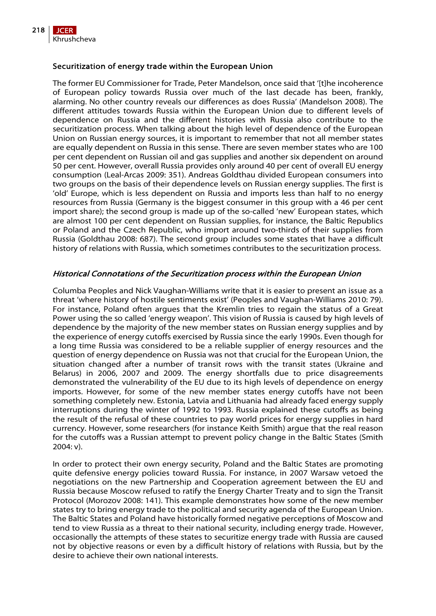

## Securitization of energy trade within the European Union

The former EU Commissioner for Trade, Peter Mandelson, once said that '[t]he incoherence of European policy towards Russia over much of the last decade has been, frankly, alarming. No other country reveals our differences as does Russia' (Mandelson 2008). The different attitudes towards Russia within the European Union due to different levels of dependence on Russia and the different histories with Russia also contribute to the securitization process. When talking about the high level of dependence of the European Union on Russian energy sources, it is important to remember that not all member states are equally dependent on Russia in this sense. There are seven member states who are 100 per cent dependent on Russian oil and gas supplies and another six dependent on around 50 per cent. However, overall Russia provides only around 40 per cent of overall EU energy consumption (Leal-Arcas 2009: 351). Andreas Goldthau divided European consumers into two groups on the basis of their dependence levels on Russian energy supplies. The first is 'old' Europe, which is less dependent on Russia and imports less than half to no energy resources from Russia (Germany is the biggest consumer in this group with a 46 per cent import share); the second group is made up of the so-called 'new' European states, which are almost 100 per cent dependent on Russian supplies, for instance, the Baltic Republics or Poland and the Czech Republic, who import around two-thirds of their supplies from Russia (Goldthau 2008: 687). The second group includes some states that have a difficult history of relations with Russia, which sometimes contributes to the securitization process.

## Historical Connotations of the Securitization process within the European Union

Columba Peoples and Nick Vaughan-Williams write that it is easier to present an issue as a threat 'where history of hostile sentiments exist' (Peoples and Vaughan-Williams 2010: 79). For instance, Poland often argues that the Kremlin tries to regain the status of a Great Power using the so called 'energy weapon'. This vision of Russia is caused by high levels of dependence by the majority of the new member states on Russian energy supplies and by the experience of energy cutoffs exercised by Russia since the early 1990s. Even though for a long time Russia was considered to be a reliable supplier of energy resources and the question of energy dependence on Russia was not that crucial for the European Union, the situation changed after a number of transit rows with the transit states (Ukraine and Belarus) in 2006, 2007 and 2009. The energy shortfalls due to price disagreements demonstrated the vulnerability of the EU due to its high levels of dependence on energy imports. However, for some of the new member states energy cutoffs have not been something completely new. Estonia, Latvia and Lithuania had already faced energy supply interruptions during the winter of 1992 to 1993. Russia explained these cutoffs as being the result of the refusal of these countries to pay world prices for energy supplies in hard currency. However, some researchers (for instance Keith Smith) argue that the real reason for the cutoffs was a Russian attempt to prevent policy change in the Baltic States (Smith 2004: v).

In order to protect their own energy security, Poland and the Baltic States are promoting quite defensive energy policies toward Russia. For instance, in 2007 Warsaw vetoed the negotiations on the new Partnership and Cooperation agreement between the EU and Russia because Moscow refused to ratify the Energy Charter Treaty and to sign the Transit Protocol (Morozov 2008: 141). This example demonstrates how some of the new member states try to bring energy trade to the political and security agenda of the European Union. The Baltic States and Poland have historically formed negative perceptions of Moscow and tend to view Russia as a threat to their national security, including energy trade. However, occasionally the attempts of these states to securitize energy trade with Russia are caused not by objective reasons or even by a difficult history of relations with Russia, but by the desire to achieve their own national interests.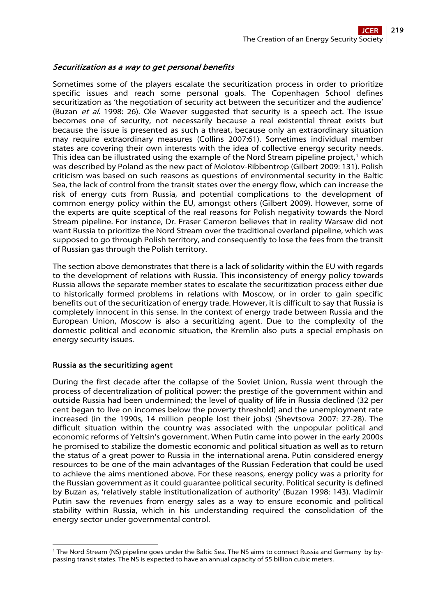## Securitization as a way to get personal benefits

Sometimes some of the players escalate the securitization process in order to prioritize specific issues and reach some personal goals. The Copenhagen School defines securitization as 'the negotiation of security act between the securitizer and the audience' (Buzan et  $al$ . 1998: 26). Ole Waever suggested that security is a speech act. The issue becomes one of security, not necessarily because a real existential threat exists but because the issue is presented as such a threat, because only an extraordinary situation may require extraordinary measures (Collins 2007:61). Sometimes individual member states are covering their own interests with the idea of collective energy security needs. This idea can be illustrated using the example of the Nord Stream pipeline project, $1$  which was described by Poland as the new pact of Molotov-Ribbentrop (Gilbert 2009: 131). Polish criticism was based on such reasons as questions of environmental security in the Baltic Sea, the lack of control from the transit states over the energy flow, which can increase the risk of energy cuts from Russia, and potential complications to the development of common energy policy within the EU, amongst others (Gilbert 2009). However, some of the experts are quite sceptical of the real reasons for Polish negativity towards the Nord Stream pipeline. For instance, Dr. Fraser Cameron believes that in reality Warsaw did not want Russia to prioritize the Nord Stream over the traditional overland pipeline, which was supposed to go through Polish territory, and consequently to lose the fees from the transit of Russian gas through the Polish territory.

The section above demonstrates that there is a lack of solidarity within the EU with regards to the development of relations with Russia. This inconsistency of energy policy towards Russia allows the separate member states to escalate the securitization process either due to historically formed problems in relations with Moscow, or in order to gain specific benefits out of the securitization of energy trade. However, it is difficult to say that Russia is completely innocent in this sense. In the context of energy trade between Russia and the European Union, Moscow is also a securitizing agent. Due to the complexity of the domestic political and economic situation, the Kremlin also puts a special emphasis on energy security issues.

## Russia as the securitizing agent

During the first decade after the collapse of the Soviet Union, Russia went through the process of decentralization of political power: the prestige of the government within and outside Russia had been undermined; the level of quality of life in Russia declined (32 per cent began to live on incomes below the poverty threshold) and the unemployment rate increased (in the 1990s, 14 million people lost their jobs) (Shevtsova 2007: 27-28). The difficult situation within the country was associated with the unpopular political and economic reforms of Yeltsin's government. When Putin came into power in the early 2000s he promised to stabilize the domestic economic and political situation as well as to return the status of a great power to Russia in the international arena. Putin considered energy resources to be one of the main advantages of the Russian Federation that could be used to achieve the aims mentioned above. For these reasons, energy policy was a priority for the Russian government as it could guarantee political security. Political security is defined by Buzan as, 'relatively stable institutionalization of authority' (Buzan 1998: 143). Vladimir Putin saw the revenues from energy sales as a way to ensure economic and political stability within Russia, which in his understanding required the consolidation of the energy sector under governmental control.

<span id="page-3-0"></span> $\overline{a}$ 1 The Nord Stream (NS) pipeline goes under the Baltic Sea. The NS aims to connect Russia and Germany by bypassing transit states. The NS is expected to have an annual capacity of 55 billion cubic meters.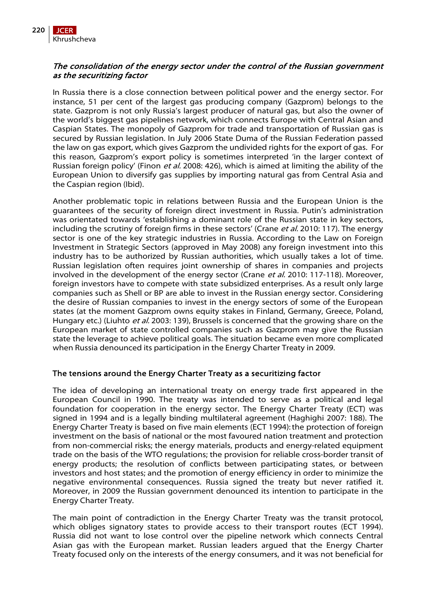

## The consolidation of the energy sector under the control of the Russian government as the securitizing factor

In Russia there is a close connection between political power and the energy sector. For instance, 51 per cent of the largest gas producing company (Gazprom) belongs to the state. Gazprom is not only Russia's largest producer of natural gas, but also the owner of the world's biggest gas pipelines network, which connects Europe with Central Asian and Caspian States. The monopoly of Gazprom for trade and transportation of Russian gas is secured by Russian legislation. In July 2006 State Duma of the Russian Federation passed the law on gas export, which gives Gazprom the undivided rights for the export of gas. For this reason, Gazprom's export policy is sometimes interpreted 'in the larger context of Russian foreign policy' (Finon *et al.* 2008: 426), which is aimed at limiting the ability of the European Union to diversify gas supplies by importing natural gas from Central Asia and the Caspian region (Ibid).

Another problematic topic in relations between Russia and the European Union is the guarantees of the security of foreign direct investment in Russia. Putin's administration was orientated towards 'establishing a dominant role of the Russian state in key sectors, including the scrutiny of foreign firms in these sectors' (Crane et al. 2010: 117). The energy sector is one of the key strategic industries in Russia. According to the Law on Foreign Investment in Strategic Sectors (approved in May 2008) any foreign investment into this industry has to be authorized by Russian authorities, which usually takes a lot of time. Russian legislation often requires joint ownership of shares in companies and projects involved in the development of the energy sector (Crane et al. 2010: 117-118). Moreover, foreign investors have to compete with state subsidized enterprises. As a result only large companies such as Shell or BP are able to invest in the Russian energy sector. Considering the desire of Russian companies to invest in the energy sectors of some of the European states (at the moment Gazprom owns equity stakes in Finland, Germany, Greece, Poland, Hungary etc.) (Liuhto *et al.* 2003: 139), Brussels is concerned that the growing share on the European market of state controlled companies such as Gazprom may give the Russian state the leverage to achieve political goals. The situation became even more complicated when Russia denounced its participation in the Energy Charter Treaty in 2009.

## The tensions around the Energy Charter Treaty as a securitizing factor

The idea of developing an international treaty on energy trade first appeared in the European Council in 1990. The treaty was intended to serve as a political and legal foundation for cooperation in the energy sector. The Energy Charter Treaty (ECT) was signed in 1994 and is a legally binding multilateral agreement (Haghighi 2007: 188). The Energy Charter Treaty is based on five main elements (ECT 1994):the protection of foreign investment on the basis of national or the most favoured nation treatment and protection from non-commercial risks; the energy materials, products and energy-related equipment trade on the basis of the WTO regulations; the provision for reliable cross-border transit of energy products; the resolution of conflicts between participating states, or between investors and host states; and the promotion of energy efficiency in order to minimize the negative environmental consequences. Russia signed the treaty but never ratified it. Moreover, in 2009 the Russian government denounced its intention to participate in the Energy Charter Treaty.

The main point of contradiction in the Energy Charter Treaty was the transit protocol, which obliges signatory states to provide access to their transport routes (ECT 1994). Russia did not want to lose control over the pipeline network which connects Central Asian gas with the European market. Russian leaders argued that the Energy Charter Treaty focused only on the interests of the energy consumers, and it was not beneficial for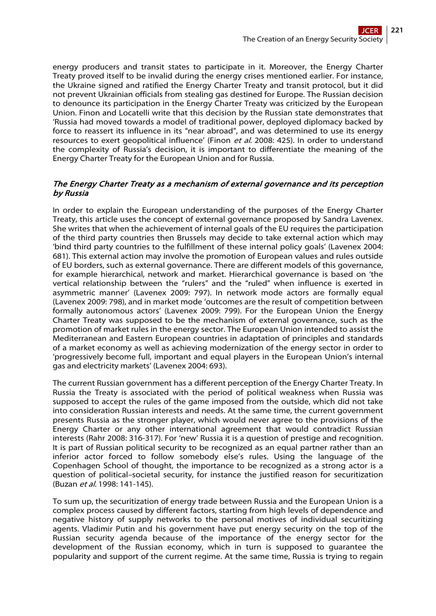energy producers and transit states to participate in it. Moreover, the Energy Charter Treaty proved itself to be invalid during the energy crises mentioned earlier. For instance, the Ukraine signed and ratified the Energy Charter Treaty and transit protocol, but it did not prevent Ukrainian officials from stealing gas destined for Europe. The Russian decision to denounce its participation in the Energy Charter Treaty was criticized by the European Union. Finon and Locatelli write that this decision by the Russian state demonstrates that 'Russia had moved towards a model of traditional power, deployed diplomacy backed by force to reassert its influence in its "near abroad", and was determined to use its energy resources to exert geopolitical influence' (Finon et al. 2008: 425). In order to understand the complexity of Russia's decision, it is important to differentiate the meaning of the Energy Charter Treaty for the European Union and for Russia.

## The Energy Charter Treaty as a mechanism of external governance and its perception by Russia

In order to explain the European understanding of the purposes of the Energy Charter Treaty, this article uses the concept of external governance proposed by Sandra Lavenex. She writes that when the achievement of internal goals of the EU requires the participation of the third party countries then Brussels may decide to take external action which may 'bind third party countries to the fulfillment of these internal policy goals' (Lavenex 2004: 681). This external action may involve the promotion of European values and rules outside of EU borders, such as external governance. There are different models of this governance, for example hierarchical, network and market. Hierarchical governance is based on 'the vertical relationship between the "rulers" and the "ruled" when influence is exerted in asymmetric manner' (Lavenex 2009: 797). In network mode actors are formally equal (Lavenex 2009: 798), and in market mode 'outcomes are the result of competition between formally autonomous actors' (Lavenex 2009: 799). For the European Union the Energy Charter Treaty was supposed to be the mechanism of external governance, such as the promotion of market rules in the energy sector. The European Union intended to assist the Mediterranean and Eastern European countries in adaptation of principles and standards of a market economy as well as achieving modernization of the energy sector in order to 'progressively become full, important and equal players in the European Union's internal gas and electricity markets' (Lavenex 2004: 693).

The current Russian government has a different perception of the Energy Charter Treaty. In Russia the Treaty is associated with the period of political weakness when Russia was supposed to accept the rules of the game imposed from the outside, which did not take into consideration Russian interests and needs. At the same time, the current government presents Russia as the stronger player, which would never agree to the provisions of the Energy Charter or any other international agreement that would contradict Russian interests (Rahr 2008: 316-317). For 'new' Russia it is a question of prestige and recognition. It is part of Russian political security to be recognized as an equal partner rather than an inferior actor forced to follow somebody else's rules. Using the language of the Copenhagen School of thought, the importance to be recognized as a strong actor is a question of political–societal security, for instance the justified reason for securitization (Buzan et al. 1998: 141-145).

To sum up, the securitization of energy trade between Russia and the European Union is a complex process caused by different factors, starting from high levels of dependence and negative history of supply networks to the personal motives of individual securitizing agents. Vladimir Putin and his government have put energy security on the top of the Russian security agenda because of the importance of the energy sector for the development of the Russian economy, which in turn is supposed to guarantee the popularity and support of the current regime. At the same time, Russia is trying to regain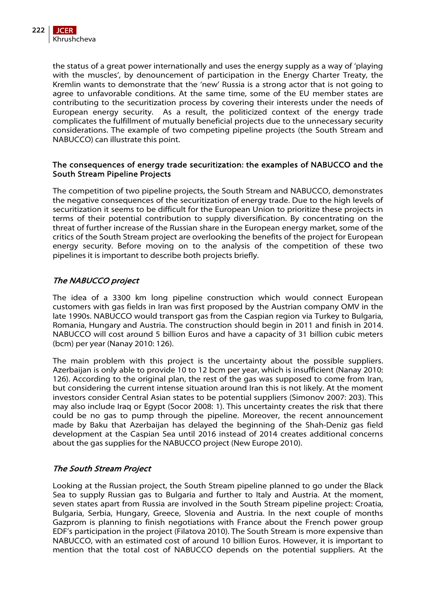the status of a great power internationally and uses the energy supply as a way of 'playing with the muscles', by denouncement of participation in the Energy Charter Treaty, the Kremlin wants to demonstrate that the 'new' Russia is a strong actor that is not going to agree to unfavorable conditions. At the same time, some of the EU member states are contributing to the securitization process by covering their interests under the needs of European energy security. As a result, the politicized context of the energy trade complicates the fulfillment of mutually beneficial projects due to the unnecessary security considerations. The example of two competing pipeline projects (the South Stream and NABUCCO) can illustrate this point.

## The consequences of energy trade securitization: the examples of NABUCCO and the South Stream Pipeline Projects

The competition of two pipeline projects, the South Stream and NABUCCO, demonstrates the negative consequences of the securitization of energy trade. Due to the high levels of securitization it seems to be difficult for the European Union to prioritize these projects in terms of their potential contribution to supply diversification. By concentrating on the threat of further increase of the Russian share in the European energy market, some of the critics of the South Stream project are overlooking the benefits of the project for European energy security. Before moving on to the analysis of the competition of these two pipelines it is important to describe both projects briefly.

## The NABUCCO project

The idea of a 3300 km long pipeline construction which would connect European customers with gas fields in Iran was first proposed by the Austrian company OMV in the late 1990s. NABUCCO would transport gas from the Caspian region via Turkey to Bulgaria, Romania, Hungary and Austria. The construction should begin in 2011 and finish in 2014. NABUCCO will cost around 5 billion Euros and have a capacity of 31 billion cubic meters (bcm) per year (Nanay 2010: 126).

The main problem with this project is the uncertainty about the possible suppliers. Azerbaijan is only able to provide 10 to 12 bcm per year, which is insufficient (Nanay 2010: 126). According to the original plan, the rest of the gas was supposed to come from Iran, but considering the current intense situation around Iran this is not likely. At the moment investors consider Central Asian states to be potential suppliers (Simonov 2007: 203). This may also include Iraq or Egypt (Socor 2008: 1). This uncertainty creates the risk that there could be no gas to pump through the pipeline. Moreover, the recent announcement made by Baku that Azerbaijan has delayed the beginning of the Shah-Deniz gas field development at the Caspian Sea until 2016 instead of 2014 creates additional concerns about the gas supplies for the NABUCCO project (New Europe 2010).

## The South Stream Project

Looking at the Russian project, the South Stream pipeline planned to go under the Black Sea to supply Russian gas to Bulgaria and further to Italy and Austria. At the moment, seven states apart from Russia are involved in the South Stream pipeline project: Croatia, Bulgaria, Serbia, Hungary, Greece, Slovenia and Austria. In the next couple of months Gazprom is planning to finish negotiations with France about the French power group EDF's participation in the project (Filatova 2010). The South Stream is more expensive than NABUCCO, with an estimated cost of around 10 billion Euros. However, it is important to mention that the total cost of NABUCCO depends on the potential suppliers. At the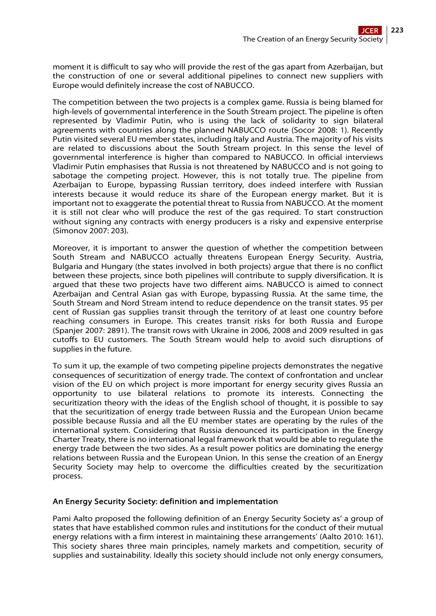moment it is difficult to say who will provide the rest of the gas apart from Azerbaijan, but the construction of one or several additional pipelines to connect new suppliers with Europe would definitely increase the cost of NABUCCO.

The competition between the two projects is a complex game. Russia is being blamed for high-levels of governmental interference in the South Stream project. The pipeline is often represented by Vladimir Putin, who is using the lack of solidarity to sign bilateral agreements with countries along the planned NABUCCO route (Socor 2008: 1). Recently Putin visited several EU member states, including Italy and Austria. The majority of his visits are related to discussions about the South Stream project. In this sense the level of governmental interference is higher than compared to NABUCCO. In official interviews Vladimir Putin emphasises that Russia is not threatened by NABUCCO and is not going to sabotage the competing project. However, this is not totally true. The pipeline from Azerbaijan to Europe, bypassing Russian territory, does indeed interfere with Russian interests because it would reduce its share of the European energy market. But it is important not to exaggerate the potential threat to Russia from NABUCCO. At the moment it is still not clear who will produce the rest of the gas required. To start construction without signing any contracts with energy producers is a risky and expensive enterprise (Simonov 2007: 203).

Moreover, it is important to answer the question of whether the competition between South Stream and NABUCCO actually threatens European Energy Security. Austria, Bulgaria and Hungary (the states involved in both projects) argue that there is no conflict between these projects, since both pipelines will contribute to supply diversification. It is argued that these two projects have two different aims. NABUCCO is aimed to connect Azerbaijan and Central Asian gas with Europe, bypassing Russia. At the same time, the South Stream and Nord Stream intend to reduce dependence on the transit states. 95 per cent of Russian gas supplies transit through the territory of at least one country before reaching consumers in Europe. This creates transit risks for both Russia and Europe (Spanjer 2007: 2891). The transit rows with Ukraine in 2006, 2008 and 2009 resulted in gas cutoffs to EU customers. The South Stream would help to avoid such disruptions of supplies in the future.

To sum it up, the example of two competing pipeline projects demonstrates the negative consequences of securitization of energy trade. The context of confrontation and unclear vision of the EU on which project is more important for energy security gives Russia an opportunity to use bilateral relations to promote its interests. Connecting the securitization theory with the ideas of the English school of thought, it is possible to say that the securitization of energy trade between Russia and the European Union became possible because Russia and all the EU member states are operating by the rules of the international system. Considering that Russia denounced its participation in the Energy Charter Treaty, there is no international legal framework that would be able to regulate the energy trade between the two sides. As a result power politics are dominating the energy relations between Russia and the European Union. In this sense the creation of an Energy Security Society may help to overcome the difficulties created by the securitization process.

## An Energy Security Society: definition and implementation

Pami Aalto proposed the following definition of an Energy Security Society as' a group of states that have established common rules and institutions for the conduct of their mutual energy relations with a firm interest in maintaining these arrangements' (Aalto 2010: 161). This society shares three main principles, namely markets and competition, security of supplies and sustainability. Ideally this society should include not only energy consumers,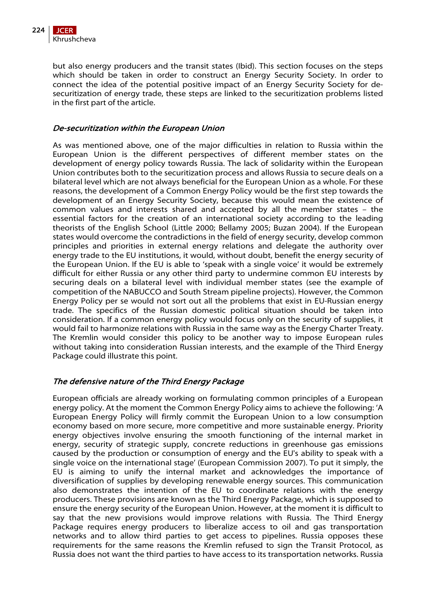

but also energy producers and the transit states (Ibid). This section focuses on the steps which should be taken in order to construct an Energy Security Society. In order to connect the idea of the potential positive impact of an Energy Security Society for desecuritization of energy trade, these steps are linked to the securitization problems listed in the first part of the article.

## De-securitization within the European Union

As was mentioned above, one of the major difficulties in relation to Russia within the European Union is the different perspectives of different member states on the development of energy policy towards Russia. The lack of solidarity within the European Union contributes both to the securitization process and allows Russia to secure deals on a bilateral level which are not always beneficial for the European Union as a whole. For these reasons, the development of a Common Energy Policy would be the first step towards the development of an Energy Security Society, because this would mean the existence of common values and interests shared and accepted by all the member states – the essential factors for the creation of an international society according to the leading theorists of the English School (Little 2000; Bellamy 2005; Buzan 2004). If the European states would overcome the contradictions in the field of energy security, develop common principles and priorities in external energy relations and delegate the authority over energy trade to the EU institutions, it would, without doubt, benefit the energy security of the European Union. If the EU is able to 'speak with a single voice' it would be extremely difficult for either Russia or any other third party to undermine common EU interests by securing deals on a bilateral level with individual member states (see the example of competition of the NABUCCO and South Stream pipeline projects). However, the Common Energy Policy per se would not sort out all the problems that exist in EU-Russian energy trade. The specifics of the Russian domestic political situation should be taken into consideration. If a common energy policy would focus only on the security of supplies, it would fail to harmonize relations with Russia in the same way as the Energy Charter Treaty. The Kremlin would consider this policy to be another way to impose European rules without taking into consideration Russian interests, and the example of the Third Energy Package could illustrate this point.

## The defensive nature of the Third Energy Package

European officials are already working on formulating common principles of a European energy policy. At the moment the Common Energy Policy aims to achieve the following: 'A European Energy Policy will firmly commit the European Union to a low consumption economy based on more secure, more competitive and more sustainable energy. Priority energy objectives involve ensuring the smooth functioning of the internal market in energy, security of strategic supply, concrete reductions in greenhouse gas emissions caused by the production or consumption of energy and the EU's ability to speak with a single voice on the international stage' (European Commission 2007). To put it simply, the EU is aiming to unify the internal market and acknowledges the importance of diversification of supplies by developing renewable energy sources. This communication also demonstrates the intention of the EU to coordinate relations with the energy producers. These provisions are known as the Third Energy Package, which is supposed to ensure the energy security of the European Union. However, at the moment it is difficult to say that the new provisions would improve relations with Russia. The Third Energy Package requires energy producers to liberalize access to oil and gas transportation networks and to allow third parties to get access to pipelines. Russia opposes these requirements for the same reasons the Kremlin refused to sign the Transit Protocol, as Russia does not want the third parties to have access to its transportation networks. Russia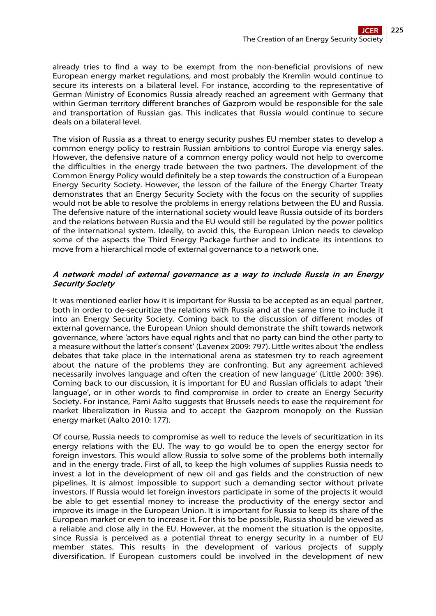already tries to find a way to be exempt from the non-beneficial provisions of new European energy market regulations, and most probably the Kremlin would continue to secure its interests on a bilateral level. For instance, according to the representative of German Ministry of Economics Russia already reached an agreement with Germany that within German territory different branches of Gazprom would be responsible for the sale and transportation of Russian gas. This indicates that Russia would continue to secure deals on a bilateral level.

The vision of Russia as a threat to energy security pushes EU member states to develop a common energy policy to restrain Russian ambitions to control Europe via energy sales. However, the defensive nature of a common energy policy would not help to overcome the difficulties in the energy trade between the two partners. The development of the Common Energy Policy would definitely be a step towards the construction of a European Energy Security Society. However, the lesson of the failure of the Energy Charter Treaty demonstrates that an Energy Security Society with the focus on the security of supplies would not be able to resolve the problems in energy relations between the EU and Russia. The defensive nature of the international society would leave Russia outside of its borders and the relations between Russia and the EU would still be regulated by the power politics of the international system. Ideally, to avoid this, the European Union needs to develop some of the aspects the Third Energy Package further and to indicate its intentions to move from a hierarchical mode of external governance to a network one.

## A network model of external governance as a way to include Russia in an Energy Security Society

It was mentioned earlier how it is important for Russia to be accepted as an equal partner, both in order to de-securitize the relations with Russia and at the same time to include it into an Energy Security Society. Coming back to the discussion of different modes of external governance, the European Union should demonstrate the shift towards network governance, where 'actors have equal rights and that no party can bind the other party to a measure without the latter's consent' (Lavenex 2009: 797). Little writes about 'the endless debates that take place in the international arena as statesmen try to reach agreement about the nature of the problems they are confronting. But any agreement achieved necessarily involves language and often the creation of new language' (Little 2000: 396). Coming back to our discussion, it is important for EU and Russian officials to adapt 'their language', or in other words to find compromise in order to create an Energy Security Society. For instance, Pami Aalto suggests that Brussels needs to ease the requirement for market liberalization in Russia and to accept the Gazprom monopoly on the Russian energy market (Aalto 2010: 177).

Of course, Russia needs to compromise as well to reduce the levels of securitization in its energy relations with the EU. The way to go would be to open the energy sector for foreign investors. This would allow Russia to solve some of the problems both internally and in the energy trade. First of all, to keep the high volumes of supplies Russia needs to invest a lot in the development of new oil and gas fields and the construction of new pipelines. It is almost impossible to support such a demanding sector without private investors. If Russia would let foreign investors participate in some of the projects it would be able to get essential money to increase the productivity of the energy sector and improve its image in the European Union. It is important for Russia to keep its share of the European market or even to increase it. For this to be possible, Russia should be viewed as a reliable and close ally in the EU. However, at the moment the situation is the opposite, since Russia is perceived as a potential threat to energy security in a number of EU member states. This results in the development of various projects of supply diversification. If European customers could be involved in the development of new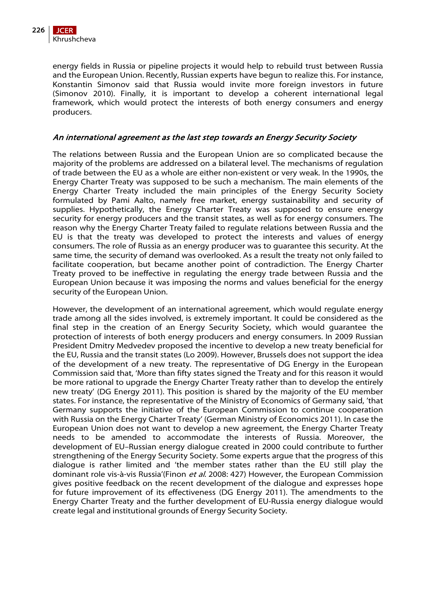energy fields in Russia or pipeline projects it would help to rebuild trust between Russia and the European Union. Recently, Russian experts have begun to realize this. For instance, Konstantin Simonov said that Russia would invite more foreign investors in future (Simonov 2010). Finally, it is important to develop a coherent international legal framework, which would protect the interests of both energy consumers and energy producers.

## An international agreement as the last step towards an Energy Security Society

The relations between Russia and the European Union are so complicated because the majority of the problems are addressed on a bilateral level. The mechanisms of regulation of trade between the EU as a whole are either non-existent or very weak. In the 1990s, the Energy Charter Treaty was supposed to be such a mechanism. The main elements of the Energy Charter Treaty included the main principles of the Energy Security Society formulated by Pami Aalto, namely free market, energy sustainability and security of supplies. Hypothetically, the Energy Charter Treaty was supposed to ensure energy security for energy producers and the transit states, as well as for energy consumers. The reason why the Energy Charter Treaty failed to regulate relations between Russia and the EU is that the treaty was developed to protect the interests and values of energy consumers. The role of Russia as an energy producer was to guarantee this security. At the same time, the security of demand was overlooked. As a result the treaty not only failed to facilitate cooperation, but became another point of contradiction. The Energy Charter Treaty proved to be ineffective in regulating the energy trade between Russia and the European Union because it was imposing the norms and values beneficial for the energy security of the European Union.

However, the development of an international agreement, which would regulate energy trade among all the sides involved, is extremely important. It could be considered as the final step in the creation of an Energy Security Society, which would guarantee the protection of interests of both energy producers and energy consumers. In 2009 Russian President Dmitry Medvedev proposed the incentive to develop a new treaty beneficial for the EU, Russia and the transit states (Lo 2009). However, Brussels does not support the idea of the development of a new treaty. The representative of DG Energy in the European Commission said that, 'More than fifty states signed the Treaty and for this reason it would be more rational to upgrade the Energy Charter Treaty rather than to develop the entirely new treaty' (DG Energy 2011). This position is shared by the majority of the EU member states. For instance, the representative of the Ministry of Economics of Germany said, 'that Germany supports the initiative of the European Commission to continue cooperation with Russia on the Energy Charter Treaty' (German Ministry of Economics 2011). In case the European Union does not want to develop a new agreement, the Energy Charter Treaty needs to be amended to accommodate the interests of Russia. Moreover, the development of EU–Russian energy dialogue created in 2000 could contribute to further strengthening of the Energy Security Society. Some experts argue that the progress of this dialogue is rather limited and 'the member states rather than the EU still play the dominant role vis-à-vis Russia'(Finon et al. 2008: 427) However, the European Commission gives positive feedback on the recent development of the dialogue and expresses hope for future improvement of its effectiveness (DG Energy 2011). The amendments to the Energy Charter Treaty and the further development of EU-Russia energy dialogue would create legal and institutional grounds of Energy Security Society.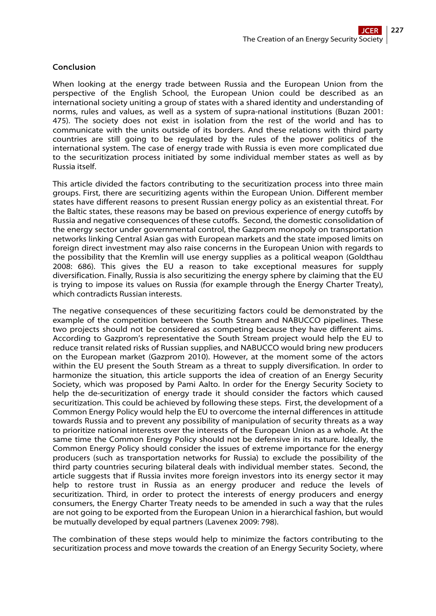## Conclusion

When looking at the energy trade between Russia and the European Union from the perspective of the English School, the European Union could be described as an international society uniting a group of states with a shared identity and understanding of norms, rules and values, as well as a system of supra-national institutions (Buzan 2001: 475). The society does not exist in isolation from the rest of the world and has to communicate with the units outside of its borders. And these relations with third party countries are still going to be regulated by the rules of the power politics of the international system. The case of energy trade with Russia is even more complicated due to the securitization process initiated by some individual member states as well as by Russia itself.

This article divided the factors contributing to the securitization process into three main groups. First, there are securitizing agents within the European Union. Different member states have different reasons to present Russian energy policy as an existential threat. For the Baltic states, these reasons may be based on previous experience of energy cutoffs by Russia and negative consequences of these cutoffs. Second, the domestic consolidation of the energy sector under governmental control, the Gazprom monopoly on transportation networks linking Central Asian gas with European markets and the state imposed limits on foreign direct investment may also raise concerns in the European Union with regards to the possibility that the Kremlin will use energy supplies as a political weapon (Goldthau 2008: 686). This gives the EU a reason to take exceptional measures for supply diversification. Finally, Russia is also securitizing the energy sphere by claiming that the EU is trying to impose its values on Russia (for example through the Energy Charter Treaty), which contradicts Russian interests.

The negative consequences of these securitizing factors could be demonstrated by the example of the competition between the South Stream and NABUCCO pipelines. These two projects should not be considered as competing because they have different aims. According to Gazprom's representative the South Stream project would help the EU to reduce transit related risks of Russian supplies, and NABUCCO would bring new producers on the European market (Gazprom 2010). However, at the moment some of the actors within the EU present the South Stream as a threat to supply diversification. In order to harmonize the situation, this article supports the idea of creation of an Energy Security Society, which was proposed by Pami Aalto. In order for the Energy Security Society to help the de-securitization of energy trade it should consider the factors which caused securitization. This could be achieved by following these steps. First, the development of a Common Energy Policy would help the EU to overcome the internal differences in attitude towards Russia and to prevent any possibility of manipulation of security threats as a way to prioritize national interests over the interests of the European Union as a whole. At the same time the Common Energy Policy should not be defensive in its nature. Ideally, the Common Energy Policy should consider the issues of extreme importance for the energy producers (such as transportation networks for Russia) to exclude the possibility of the third party countries securing bilateral deals with individual member states. Second, the article suggests that if Russia invites more foreign investors into its energy sector it may help to restore trust in Russia as an energy producer and reduce the levels of securitization. Third, in order to protect the interests of energy producers and energy consumers, the Energy Charter Treaty needs to be amended in such a way that the rules are not going to be exported from the European Union in a hierarchical fashion, but would be mutually developed by equal partners (Lavenex 2009: 798).

The combination of these steps would help to minimize the factors contributing to the securitization process and move towards the creation of an Energy Security Society, where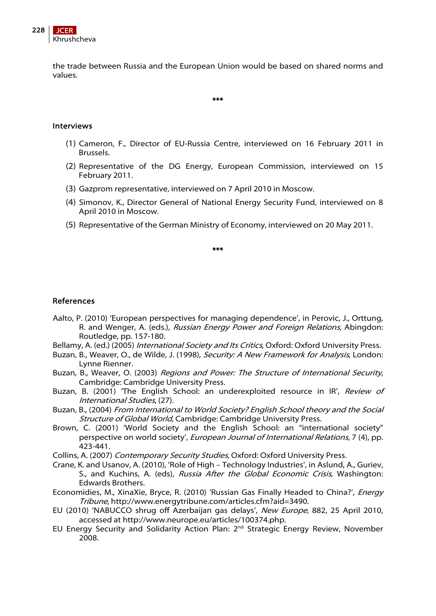

the trade between Russia and the European Union would be based on shared norms and values.

\*\*\*

## Interviews

- (1) Cameron, F., Director of EU-Russia Centre, interviewed on 16 February 2011 in Brussels.
- (2) Representative of the DG Energy, European Commission, interviewed on 15 February 2011.
- (3) Gazprom representative, interviewed on 7 April 2010 in Moscow.
- (4) Simonov, K., Director General of National Energy Security Fund, interviewed on 8 April 2010 in Moscow.
- (5) Representative of the German Ministry of Economy, interviewed on 20 May 2011.

\*\*\*

## References

- Aalto, P. (2010) 'European perspectives for managing dependence', in Perovic, J., Orttung, R. and Wenger, A. (eds.), Russian Energy Power and Foreign Relations, Abingdon: Routledge, pp. 157-180.
- Bellamy, A. (ed.) (2005) International Society and Its Critics, Oxford: Oxford University Press.
- Buzan, B., Weaver, O., de Wilde, J. (1998), Security: A New Framework for Analysis, London: Lynne Rienner.
- Buzan, B., Weaver, O. (2003) Regions and Power: The Structure of International Security, Cambridge: Cambridge University Press.
- Buzan, B. (2001) 'The English School: an underexploited resource in IR', Review of International Studies, (27).
- Buzan, B., (2004) From International to World Society? English School theory and the Social Structure of Global World, Cambridge: Cambridge University Press.
- Brown, C. (2001) 'World Society and the English School: an "international society" perspective on world society', European Journal of International Relations, 7 (4), pp. 423-441.
- Collins, A. (2007) Contemporary Security Studies, Oxford: Oxford University Press.
- Crane, K. and Usanov, A. (2010), 'Role of High Technology Industries', in Aslund, A., Guriev, S., and Kuchins, A. (eds), Russia After the Global Economic Crisis, Washington: Edwards Brothers.
- Economidies, M., XinaXie, Bryce, R. (2010) 'Russian Gas Finally Headed to China?', Energy Tribune, [http://www.energytribune.com/articles.cfm?aid=3490.](http://www.energytribune.com/articles.cfm?aid=3490)
- EU (2010) 'NABUCCO shrug off Azerbaijan gas delays', New Europe, 882, 25 April 2010, accessed at <http://www.neurope.eu/articles/100374.php>.
- EU Energy Security and Solidarity Action Plan: 2<sup>nd</sup> Strategic Energy Review, November 2008.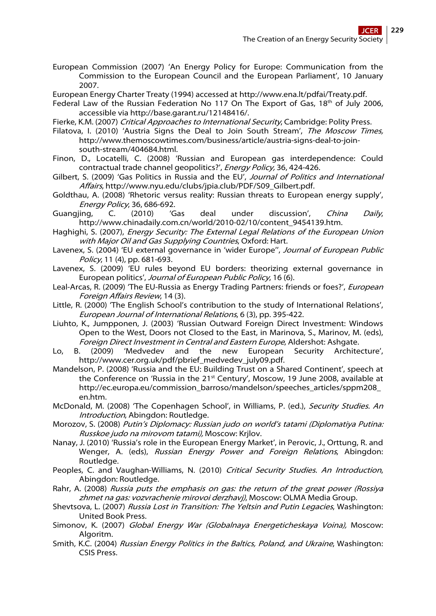- European Commission (2007) 'An Energy Policy for Europe: Communication from the Commission to the European Council and the European Parliament', 10 January 2007.
- European Energy Charter Treaty (1994) accessed at [http://www.ena.lt/pdfai/Treaty.pdf.](http://www.ena.lt/pdfai/Treaty.pdf)
- Federal Law of the Russian Federation No 117 On The Export of Gas,  $18<sup>th</sup>$  of July 2006, accessible via http://base.garant.ru/12148416/.
- Fierke, K.M. (2007) Critical Approaches to International Security, Cambridge: Polity Press.
- Filatova, I. (2010) 'Austria Signs the Deal to Join South Stream', The Moscow Times, [http://www.themoscowtimes.com/business/article/austria-signs-deal-to-join](http://www.themoscowtimes.com/business/article/austria-signs-deal-to-join-south-stream/404684.html)[south-stream/404684.html.](http://www.themoscowtimes.com/business/article/austria-signs-deal-to-join-south-stream/404684.html)
- Finon, D., Locatelli, C. (2008) 'Russian and European gas interdependence: Could contractual trade channel geopolitics?', Energy Policy, 36, 424-426.
- Gilbert, S. (2009) 'Gas Politics in Russia and the EU', Journal of Politics and International Affairs, [http://www.nyu.edu/clubs/jpia.club/PDF/S09\\_Gilbert.pdf.](http://www.nyu.edu/clubs/jpia.club/PDF/S09_Gilbert.pdf)
- Goldthau, A. (2008) 'Rhetoric versus reality: Russian threats to European energy supply', Energy Policy, 36, 686-692.
- Guangjing, C. (2010) 'Gas deal under discussion', China Daily, [http://www.chinadaily.com.cn/world/2010-02/10/content\\_9454139.htm.](http://www.chinadaily.com.cn/world/2010-02/10/content_9454139.htm)
- Haghighi, S. (2007), Energy Security: The External Legal Relations of the European Union with Major Oil and Gas Supplying Countries, Oxford: Hart.
- Lavenex, S. (2004) 'EU external governance in 'wider Europe", Journal of European Public Policy, 11 (4), pp. 681-693.
- Lavenex, S. (2009) 'EU rules beyond EU borders: theorizing external governance in European politics', Journal of European Public Policy, 16 (6).
- Leal-Arcas, R. (2009) 'The EU-Russia as Energy Trading Partners: friends or foes?', *European* Foreign Affairs Review, 14 (3).
- Little, R. (2000) 'The English School's contribution to the study of International Relations', European Journal of International Relations, 6 (3), pp. 395-422.
- Liuhto, K., Jumpponen, J. (2003) 'Russian Outward Foreign Direct Investment: Windows Open to the West, Doors not Closed to the East, in Marinova, S., Marinov, M. (eds), Foreign Direct Investment in Central and Eastern Europe, Aldershot: Ashgate.
- Lo, B. (2009) 'Medvedev and the new European Security Architecture', [http://www.cer.org.uk/pdf/pbrief\\_medvedev\\_july09.pdf.](http://www.cer.org.uk/pdf/pbrief_medvedev_july09.pdf)
- Mandelson, P. (2008) 'Russia and the EU: Building Trust on a Shared Continent', speech at the Conference on 'Russia in the 21<sup>st</sup> Century', Moscow, 19 June 2008, available at [http://ec.europa.eu/commission\\_barroso/mandelson/speeches\\_articles/sppm208\\_](http://ec.europa.eu/commission_barroso/mandelson/speeches_articles/sppm208_en.htm) [en.htm](http://ec.europa.eu/commission_barroso/mandelson/speeches_articles/sppm208_en.htm).
- McDonald, M. (2008) 'The Copenhagen School', in Williams, P. (ed.), Security Studies. An Introduction, Abingdon: Routledge.
- Morozov, S. (2008) Putin's Diplomacy: Russian judo on world's tatami (Diplomatiya Putina: Russkoe judo na mirovom tatami), Moscow: Krjlov.
- Nanay, J. (2010) 'Russia's role in the European Energy Market', in Perovic, J., Orttung, R. and Wenger, A. (eds), Russian Energy Power and Foreign Relations, Abingdon: Routledge.
- Peoples, C. and Vaughan-Williams, N. (2010) Critical Security Studies. An Introduction, Abingdon: Routledge.
- Rahr, A. (2008) Russia puts the emphasis on gas: the return of the great power (Rossiya zhmet na gas: vozvrachenie mirovoi derzhavj), Moscow: OLMA Media Group.
- Shevtsova, L. (2007) Russia Lost in Transition: The Yeltsin and Putin Legacies, Washington: United Book Press.
- Simonov, K. (2007) Global Energy War (Globalnaya Energeticheskaya Voina), Moscow: Algoritm.
- Smith, K.C. (2004) Russian Energy Politics in the Baltics, Poland, and Ukraine, Washington: CSIS Press.